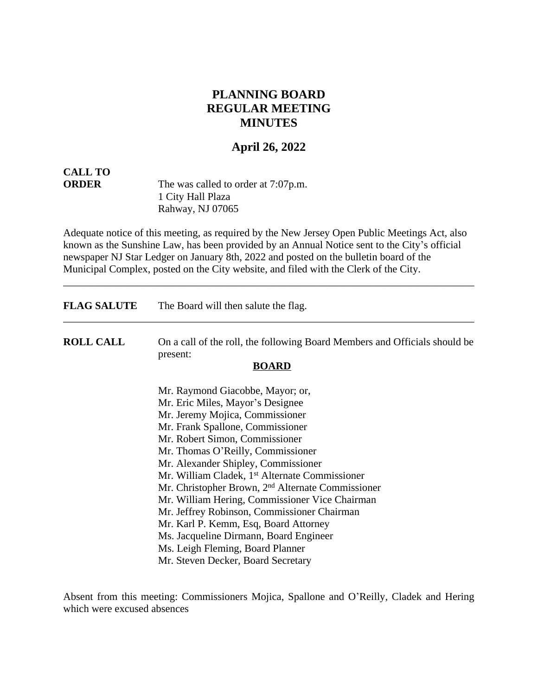# **PLANNING BOARD REGULAR MEETING MINUTES**

# **April 26, 2022**

# **CALL TO**

**ORDER** The was called to order at 7:07p.m. 1 City Hall Plaza Rahway, NJ 07065

Adequate notice of this meeting, as required by the New Jersey Open Public Meetings Act, also known as the Sunshine Law, has been provided by an Annual Notice sent to the City's official newspaper NJ Star Ledger on January 8th, 2022 and posted on the bulletin board of the Municipal Complex, posted on the City website, and filed with the Clerk of the City.

\_\_\_\_\_\_\_\_\_\_\_\_\_\_\_\_\_\_\_\_\_\_\_\_\_\_\_\_\_\_\_\_\_\_\_\_\_\_\_\_\_\_\_\_\_\_\_\_\_\_\_\_\_\_\_\_\_\_\_\_\_\_\_\_\_\_\_\_\_\_\_\_\_\_\_\_\_\_

**FLAG SALUTE** The Board will then salute the flag.

**ROLL CALL** On a call of the roll, the following Board Members and Officials should be present:

\_\_\_\_\_\_\_\_\_\_\_\_\_\_\_\_\_\_\_\_\_\_\_\_\_\_\_\_\_\_\_\_\_\_\_\_\_\_\_\_\_\_\_\_\_\_\_\_\_\_\_\_\_\_\_\_\_\_\_\_\_\_\_\_\_\_\_\_\_\_\_\_\_\_\_\_\_\_

#### **BOARD**

Mr. Raymond Giacobbe, Mayor; or, Mr. Eric Miles, Mayor's Designee Mr. Jeremy Mojica, Commissioner Mr. Frank Spallone, Commissioner Mr. Robert Simon, Commissioner Mr. Thomas O'Reilly, Commissioner Mr. Alexander Shipley, Commissioner Mr. William Cladek, 1<sup>st</sup> Alternate Commissioner Mr. Christopher Brown, 2nd Alternate Commissioner Mr. William Hering, Commissioner Vice Chairman Mr. Jeffrey Robinson, Commissioner Chairman Mr. Karl P. Kemm, Esq, Board Attorney Ms. Jacqueline Dirmann, Board Engineer Ms. Leigh Fleming, Board Planner Mr. Steven Decker, Board Secretary

Absent from this meeting: Commissioners Mojica, Spallone and O'Reilly, Cladek and Hering which were excused absences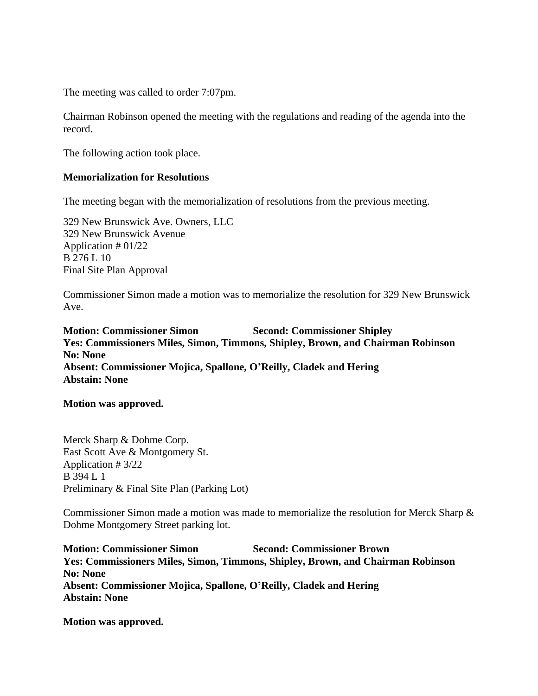The meeting was called to order 7:07pm.

Chairman Robinson opened the meeting with the regulations and reading of the agenda into the record.

The following action took place.

# **Memorialization for Resolutions**

The meeting began with the memorialization of resolutions from the previous meeting.

329 New Brunswick Ave. Owners, LLC 329 New Brunswick Avenue Application # 01/22 B 276 L 10 Final Site Plan Approval

Commissioner Simon made a motion was to memorialize the resolution for 329 New Brunswick Ave.

**Motion: Commissioner Simon Second: Commissioner Shipley Yes: Commissioners Miles, Simon, Timmons, Shipley, Brown, and Chairman Robinson No: None Absent: Commissioner Mojica, Spallone, O'Reilly, Cladek and Hering Abstain: None**

**Motion was approved.**

Merck Sharp & Dohme Corp. East Scott Ave & Montgomery St. Application # 3/22 B 394 L 1 Preliminary & Final Site Plan (Parking Lot)

Commissioner Simon made a motion was made to memorialize the resolution for Merck Sharp & Dohme Montgomery Street parking lot.

**Motion: Commissioner Simon Second: Commissioner Brown Yes: Commissioners Miles, Simon, Timmons, Shipley, Brown, and Chairman Robinson No: None Absent: Commissioner Mojica, Spallone, O'Reilly, Cladek and Hering Abstain: None**

**Motion was approved.**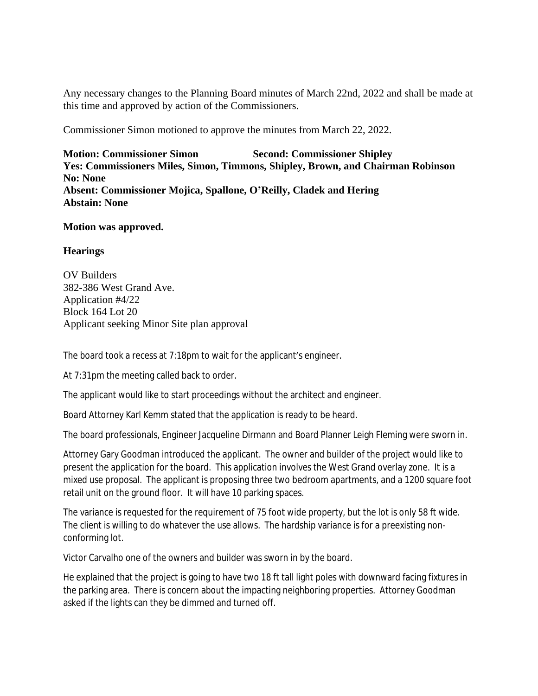Any necessary changes to the Planning Board minutes of March 22nd, 2022 and shall be made at this time and approved by action of the Commissioners.

Commissioner Simon motioned to approve the minutes from March 22, 2022.

**Motion: Commissioner Simon Second: Commissioner Shipley Yes: Commissioners Miles, Simon, Timmons, Shipley, Brown, and Chairman Robinson No: None Absent: Commissioner Mojica, Spallone, O'Reilly, Cladek and Hering Abstain: None**

# **Motion was approved.**

# **Hearings**

OV Builders 382-386 West Grand Ave. Application #4/22 Block 164 Lot 20 Applicant seeking Minor Site plan approval

The board took a recess at 7:18pm to wait for the applicant's engineer.

At 7:31pm the meeting called back to order.

The applicant would like to start proceedings without the architect and engineer.

Board Attorney Karl Kemm stated that the application is ready to be heard.

The board professionals, Engineer Jacqueline Dirmann and Board Planner Leigh Fleming were sworn in.

Attorney Gary Goodman introduced the applicant. The owner and builder of the project would like to present the application for the board. This application involves the West Grand overlay zone. It is a mixed use proposal. The applicant is proposing three two bedroom apartments, and a 1200 square foot retail unit on the ground floor. It will have 10 parking spaces.

The variance is requested for the requirement of 75 foot wide property, but the lot is only 58 ft wide. The client is willing to do whatever the use allows. The hardship variance is for a preexisting nonconforming lot.

Victor Carvalho one of the owners and builder was sworn in by the board.

He explained that the project is going to have two 18 ft tall light poles with downward facing fixtures in the parking area. There is concern about the impacting neighboring properties. Attorney Goodman asked if the lights can they be dimmed and turned off.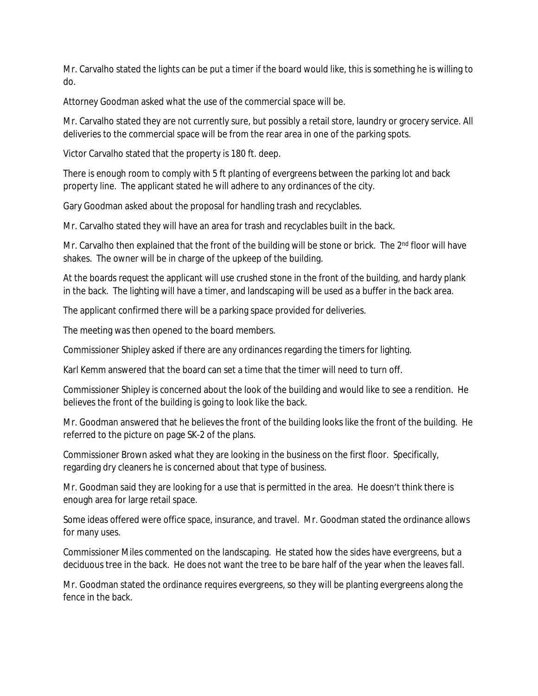Mr. Carvalho stated the lights can be put a timer if the board would like, this is something he is willing to do.

Attorney Goodman asked what the use of the commercial space will be.

Mr. Carvalho stated they are not currently sure, but possibly a retail store, laundry or grocery service. All deliveries to the commercial space will be from the rear area in one of the parking spots.

Victor Carvalho stated that the property is 180 ft. deep.

There is enough room to comply with 5 ft planting of evergreens between the parking lot and back property line. The applicant stated he will adhere to any ordinances of the city.

Gary Goodman asked about the proposal for handling trash and recyclables.

Mr. Carvalho stated they will have an area for trash and recyclables built in the back.

Mr. Carvalho then explained that the front of the building will be stone or brick. The 2<sup>nd</sup> floor will have shakes. The owner will be in charge of the upkeep of the building.

At the boards request the applicant will use crushed stone in the front of the building, and hardy plank in the back. The lighting will have a timer, and landscaping will be used as a buffer in the back area.

The applicant confirmed there will be a parking space provided for deliveries.

The meeting was then opened to the board members.

Commissioner Shipley asked if there are any ordinances regarding the timers for lighting.

Karl Kemm answered that the board can set a time that the timer will need to turn off.

Commissioner Shipley is concerned about the look of the building and would like to see a rendition. He believes the front of the building is going to look like the back.

Mr. Goodman answered that he believes the front of the building looks like the front of the building. He referred to the picture on page SK-2 of the plans.

Commissioner Brown asked what they are looking in the business on the first floor. Specifically, regarding dry cleaners he is concerned about that type of business.

Mr. Goodman said they are looking for a use that is permitted in the area. He doesn't think there is enough area for large retail space.

Some ideas offered were office space, insurance, and travel. Mr. Goodman stated the ordinance allows for many uses.

Commissioner Miles commented on the landscaping. He stated how the sides have evergreens, but a deciduous tree in the back. He does not want the tree to be bare half of the year when the leaves fall.

Mr. Goodman stated the ordinance requires evergreens, so they will be planting evergreens along the fence in the back.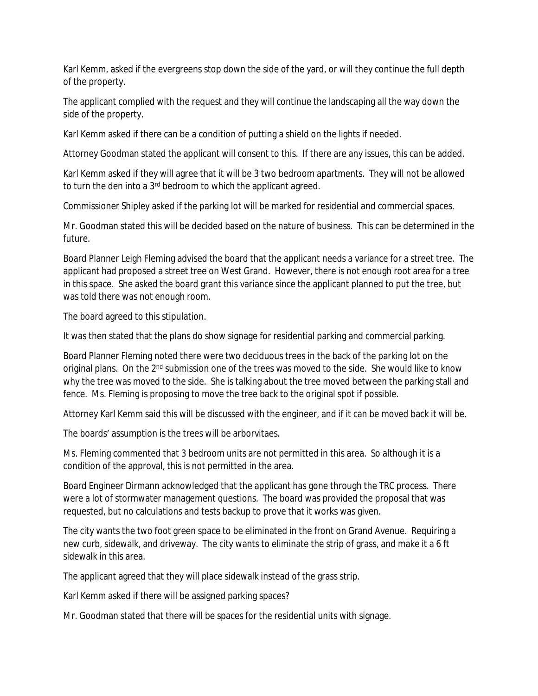Karl Kemm, asked if the evergreens stop down the side of the yard, or will they continue the full depth of the property.

The applicant complied with the request and they will continue the landscaping all the way down the side of the property.

Karl Kemm asked if there can be a condition of putting a shield on the lights if needed.

Attorney Goodman stated the applicant will consent to this. If there are any issues, this can be added.

Karl Kemm asked if they will agree that it will be 3 two bedroom apartments. They will not be allowed to turn the den into a 3<sup>rd</sup> bedroom to which the applicant agreed.

Commissioner Shipley asked if the parking lot will be marked for residential and commercial spaces.

Mr. Goodman stated this will be decided based on the nature of business. This can be determined in the future.

Board Planner Leigh Fleming advised the board that the applicant needs a variance for a street tree. The applicant had proposed a street tree on West Grand. However, there is not enough root area for a tree in this space. She asked the board grant this variance since the applicant planned to put the tree, but was told there was not enough room.

The board agreed to this stipulation.

It was then stated that the plans do show signage for residential parking and commercial parking.

Board Planner Fleming noted there were two deciduous trees in the back of the parking lot on the original plans. On the 2<sup>nd</sup> submission one of the trees was moved to the side. She would like to know why the tree was moved to the side. She is talking about the tree moved between the parking stall and fence. Ms. Fleming is proposing to move the tree back to the original spot if possible.

Attorney Karl Kemm said this will be discussed with the engineer, and if it can be moved back it will be.

The boards' assumption is the trees will be arborvitaes.

Ms. Fleming commented that 3 bedroom units are not permitted in this area. So although it is a condition of the approval, this is not permitted in the area.

Board Engineer Dirmann acknowledged that the applicant has gone through the TRC process. There were a lot of stormwater management questions. The board was provided the proposal that was requested, but no calculations and tests backup to prove that it works was given.

The city wants the two foot green space to be eliminated in the front on Grand Avenue. Requiring a new curb, sidewalk, and driveway. The city wants to eliminate the strip of grass, and make it a 6 ft sidewalk in this area.

The applicant agreed that they will place sidewalk instead of the grass strip.

Karl Kemm asked if there will be assigned parking spaces?

Mr. Goodman stated that there will be spaces for the residential units with signage.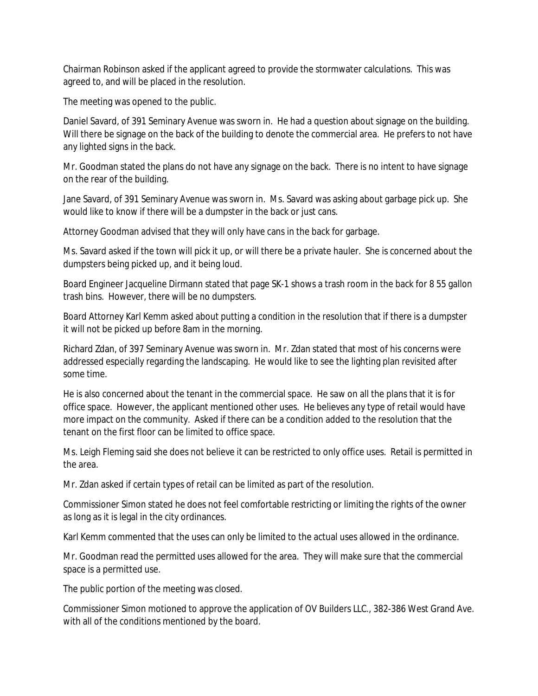Chairman Robinson asked if the applicant agreed to provide the stormwater calculations. This was agreed to, and will be placed in the resolution.

The meeting was opened to the public.

Daniel Savard, of 391 Seminary Avenue was sworn in. He had a question about signage on the building. Will there be signage on the back of the building to denote the commercial area. He prefers to not have any lighted signs in the back.

Mr. Goodman stated the plans do not have any signage on the back. There is no intent to have signage on the rear of the building.

Jane Savard, of 391 Seminary Avenue was sworn in. Ms. Savard was asking about garbage pick up. She would like to know if there will be a dumpster in the back or just cans.

Attorney Goodman advised that they will only have cans in the back for garbage.

Ms. Savard asked if the town will pick it up, or will there be a private hauler. She is concerned about the dumpsters being picked up, and it being loud.

Board Engineer Jacqueline Dirmann stated that page SK-1 shows a trash room in the back for 8 55 gallon trash bins. However, there will be no dumpsters.

Board Attorney Karl Kemm asked about putting a condition in the resolution that if there is a dumpster it will not be picked up before 8am in the morning.

Richard Zdan, of 397 Seminary Avenue was sworn in. Mr. Zdan stated that most of his concerns were addressed especially regarding the landscaping. He would like to see the lighting plan revisited after some time.

He is also concerned about the tenant in the commercial space. He saw on all the plans that it is for office space. However, the applicant mentioned other uses. He believes any type of retail would have more impact on the community. Asked if there can be a condition added to the resolution that the tenant on the first floor can be limited to office space.

Ms. Leigh Fleming said she does not believe it can be restricted to only office uses. Retail is permitted in the area.

Mr. Zdan asked if certain types of retail can be limited as part of the resolution.

Commissioner Simon stated he does not feel comfortable restricting or limiting the rights of the owner as long as it is legal in the city ordinances.

Karl Kemm commented that the uses can only be limited to the actual uses allowed in the ordinance.

Mr. Goodman read the permitted uses allowed for the area. They will make sure that the commercial space is a permitted use.

The public portion of the meeting was closed.

Commissioner Simon motioned to approve the application of OV Builders LLC., 382-386 West Grand Ave. with all of the conditions mentioned by the board.